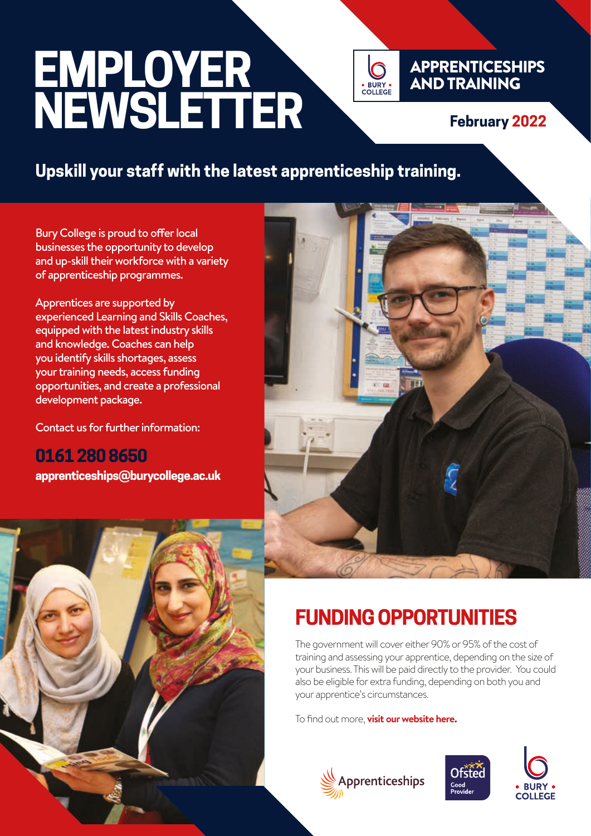# **EMPLOYER NEWSLETTER**



#### **February 2022**

#### **Upskill your staff with the latest apprenticeship training.**

Bury College is proud to offer local businesses the opportunity to develop and up-skill their workforce with a variety of apprenticeship programmes.

Apprentices are supported by experienced Learning and Skills Coaches, equipped with the latest industry skills and knowledge. Coaches can help you identify skills shortages, assess your training needs, access funding opportunities, and create a professional development package.

Contact us for further information:

**0161 280 8650 apprenticeships@burycollege.ac.uk**





# **FUNDING OPPORTUNITIES**

The government will cover either 90% or 95% of the cost of training and assessing your apprentice, depending on the size of your business. This will be paid directly to the provider. You could also be eligible for extra funding, depending on both you and your apprentice's circumstances.

To find out more, **[visit our website here.](https://burycollege.ac.uk/employers/funding-opportunities/)**





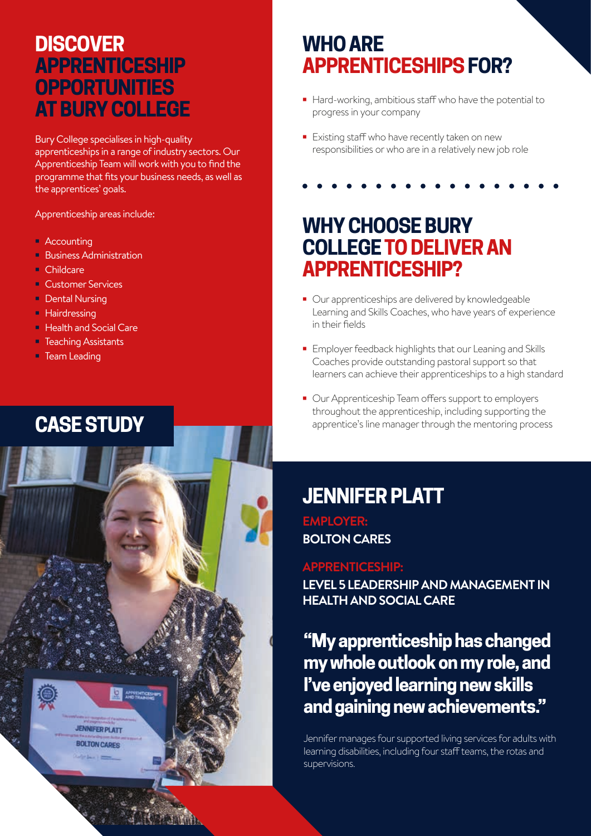#### **DISCOVER APPRENTICESHIP OPPORTUNITIES AT BURY COLLEGE**

Bury College specialises in high-quality apprenticeships in a range of industry sectors. Our Apprenticeship Team will work with you to find the programme that fits your business needs, as well as the apprentices' goals.

Apprenticeship areas include:

- **•** Accounting
- **•** Business Administration
- **•** Childcare
- **•** Customer Services
- **•** Dental Nursing
- **•** Hairdressing
- **•** Health and Social Care
- **•** Teaching Assistants
- **•** Team Leading



# **WHO ARE APPRENTICESHIPS FOR?**

- **•** Hard-working, ambitious staff who have the potential to progress in your company
- **•** Existing staff who have recently taken on new responsibilities or who are in a relatively new job role

## **WHY CHOOSE BURY COLLEGE TO DELIVER AN APPRENTICESHIP?**

- **•** Our apprenticeships are delivered by knowledgeable Learning and Skills Coaches, who have years of experience in their fields
- **•** Employer feedback highlights that our Leaning and Skills Coaches provide outstanding pastoral support so that learners can achieve their apprenticeships to a high standard
- **•** Our Apprenticeship Team offers support to employers throughout the apprenticeship, including supporting the **CASE STUDY** apprentice's line manager through the mentoring process

# **JENNIFER PLATT**

**EMPLOYER: BOLTON CARES**

#### **APPRENTICESHIP:**

**LEVEL 5 LEADERSHIP AND MANAGEMENT IN HEALTH AND SOCIAL CARE**

#### **"My apprenticeship has changed my whole outlook on my role, and I've enjoyed learning new skills and gaining new achievements."**

Jennifer manages four supported living services for adults with learning disabilities, including four staff teams, the rotas and supervisions.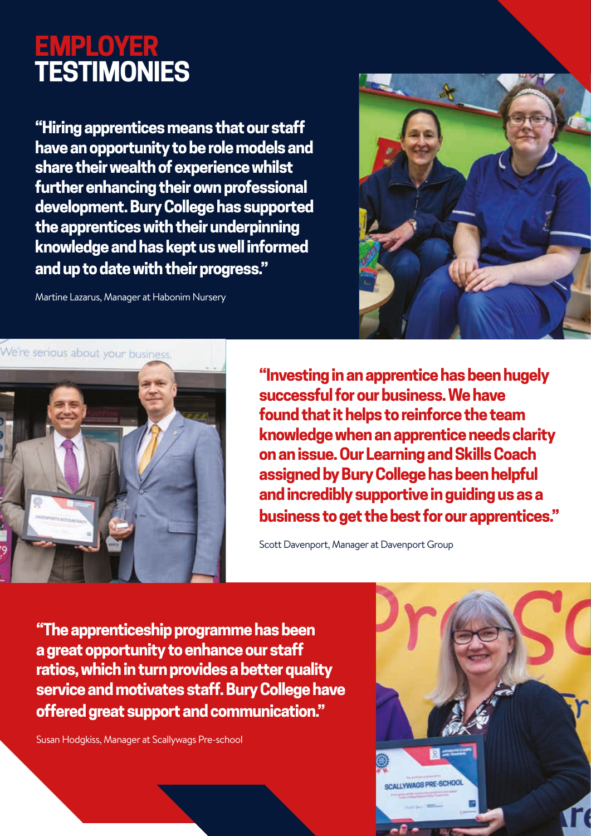# **EMPLOYER TESTIMONIES**

**"Hiring apprentices means that our staff have an opportunity to be role models and share their wealth of experience whilst further enhancing their own professional development. Bury College has supported the apprentices with their underpinning knowledge and has kept us well informed and up to date with their progress."**

Martine Lazarus, Manager at Habonim Nursery





**"Investing in an apprentice has been hugely successful for our business. We have found that it helps to reinforce the team knowledge when an apprentice needs clarity on an issue. Our Learning and Skills Coach assigned by Bury College has been helpful and incredibly supportive in guiding us as a business to get the best for our apprentices."**

Scott Davenport, Manager at Davenport Group

**"The apprenticeship programme has been a great opportunity to enhance our staff ratios, which in turn provides a better quality service and motivates staff. Bury College have offered great support and communication."**

Susan Hodgkiss, Manager at Scallywags Pre-school